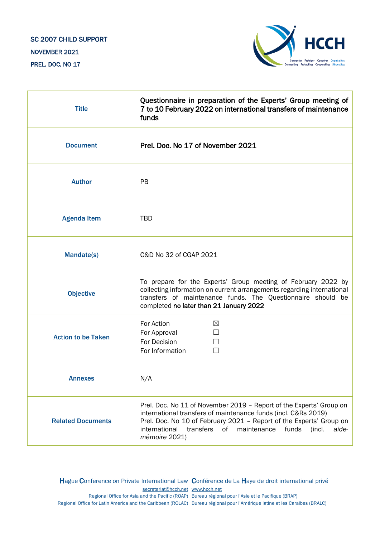## SC 2007 CHILD SUPPORT NOVEMBER 2021 PREL. DOC. NO 17



| <b>Title</b>              | Questionnaire in preparation of the Experts' Group meeting of<br>7 to 10 February 2022 on international transfers of maintenance<br>funds                                                                                                                                                                 |
|---------------------------|-----------------------------------------------------------------------------------------------------------------------------------------------------------------------------------------------------------------------------------------------------------------------------------------------------------|
| <b>Document</b>           | Prel. Doc. No 17 of November 2021                                                                                                                                                                                                                                                                         |
| <b>Author</b>             | <b>PB</b>                                                                                                                                                                                                                                                                                                 |
| <b>Agenda Item</b>        | <b>TBD</b>                                                                                                                                                                                                                                                                                                |
| Mandate(s)                | C&D No 32 of CGAP 2021                                                                                                                                                                                                                                                                                    |
| <b>Objective</b>          | To prepare for the Experts' Group meeting of February 2022 by<br>collecting information on current arrangements regarding international<br>transfers of maintenance funds. The Questionnaire should be<br>completed no later than 21 January 2022                                                         |
| <b>Action to be Taken</b> | For Action<br>⊠<br>For Approval<br>For Decision<br>For Information                                                                                                                                                                                                                                        |
| <b>Annexes</b>            | N/A                                                                                                                                                                                                                                                                                                       |
| <b>Related Documents</b>  | Prel. Doc. No 11 of November 2019 - Report of the Experts' Group on<br>international transfers of maintenance funds (incl. C&Rs 2019)<br>Prel. Doc. No 10 of February 2021 - Report of the Experts' Group on<br>transfers<br>international<br>of maintenance<br>funds<br>(incl.<br>aide-<br>mémoire 2021) |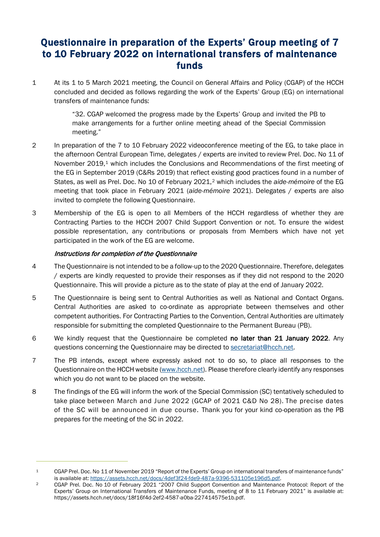## Questionnaire in preparation of the Experts' Group meeting of 7 to 10 February 2022 on international transfers of maintenance funds

1 At its 1 to 5 March 2021 meeting, the Council on General Affairs and Policy (CGAP) of the HCCH concluded and decided as follows regarding the work of the Experts' Group (EG) on international transfers of maintenance funds:

> "32. CGAP welcomed the progress made by the Experts' Group and invited the PB to make arrangements for a further online meeting ahead of the Special Commission meeting."

- 2 In preparation of the 7 to 10 February 2022 videoconference meeting of the EG, to take place in the afternoon Central European Time, delegates / experts are invited to review Prel. Doc. No 11 of November 20[1](#page-1-0)9,<sup>1</sup> which includes the Conclusions and Recommendations of the first meeting of the EG in September 2019 (C&Rs 2019) that reflect existing good practices found in a number of States, as well as Prel. Doc. No 10 of February 2021,[2](#page-1-1) which includes the *aide-mémoire* of the EG meeting that took place in February 2021 (*aide-mémoire* 2021). Delegates / experts are also invited to complete the following Questionnaire.
- 3 Membership of the EG is open to all Members of the HCCH regardless of whether they are Contracting Parties to the HCCH 2007 Child Support Convention or not. To ensure the widest possible representation, any contributions or proposals from Members which have not yet participated in the work of the EG are welcome.

## Instructions for completion of the Questionnaire

- 4 The Questionnaire is not intended to be a follow-up to the 2020 Questionnaire. Therefore, delegates / experts are kindly requested to provide their responses as if they did not respond to the 2020 Questionnaire. This will provide a picture as to the state of play at the end of January 2022.
- 5 The Questionnaire is being sent to Central Authorities as well as National and Contact Organs. Central Authorities are asked to co-ordinate as appropriate between themselves and other competent authorities. For Contracting Parties to the Convention, Central Authorities are ultimately responsible for submitting the completed Questionnaire to the Permanent Bureau (PB).
- 6 We kindly request that the Questionnaire be completed no later than 21 January 2022. Any questions concerning the Questionnaire may be directed to [secretariat@hcch.net.](mailto:secretariat@hcch.net)
- 7 The PB intends, except where expressly asked not to do so, to place all responses to the Questionnaire on the HCCH website [\(www.hcch.net\)](http://www.hcch.net/). Please therefore clearly identify any responses which you do not want to be placed on the website.
- 8 The findings of the EG will inform the work of the Special Commission (SC) tentatively scheduled to take place between March and June 2022 (GCAP of 2021 C&D No 28). The precise dates of the SC will be announced in due course. Thank you for your kind co-operation as the PB prepares for the meeting of the SC in 2022.

<span id="page-1-0"></span><sup>1</sup> CGAP Prel. Doc. No 11 of November 2019 "Report of the Experts' Group on international transfers of maintenance funds" is available at: [https://assets.hcch.net/docs/4def3f24-fde9-487a-9396-531105e196d5.pdf.](https://assets.hcch.net/docs/4def3f24-fde9-487a-9396-531105e196d5.pdf)

<span id="page-1-1"></span><sup>&</sup>lt;sup>2</sup> CGAP Prel. Doc. No 10 of February 2021 "2007 Child Support Convention and Maintenance Protocol: Report of the Experts' Group on International Transfers of Maintenance Funds, meeting of 8 to 11 February 2021" is available at: https://assets.hcch.net/docs/18f16f4d-2ef2-4587-a0ba-227414575e1b.pdf.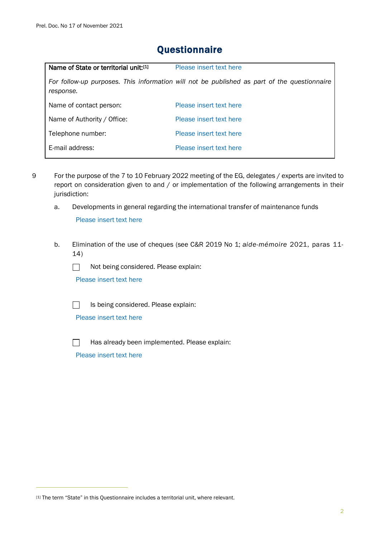| Name of State or territorial unit:[1] | Please insert text here                                                                     |
|---------------------------------------|---------------------------------------------------------------------------------------------|
| response.                             | For follow-up purposes. This information will not be published as part of the questionnaire |
| Name of contact person:               | Please insert text here                                                                     |
| Name of Authority / Office:           | Please insert text here                                                                     |
| Telephone number:                     | Please insert text here                                                                     |
| E-mail address:                       | Please insert text here                                                                     |
|                                       |                                                                                             |

## **Questionnaire**

- 9 For the purpose of the 7 to 10 February 2022 meeting of the EG, delegates / experts are invited to report on consideration given to and / or implementation of the following arrangements in their jurisdiction:
	- a. Developments in general regarding the international transfer of maintenance funds

Please insert text here

- b. Elimination of the use of cheques (see C&R 2019 No 1; *aide-mémoire* 2021, paras 11- 14)
	- $\Box$ Not being considered. Please explain:

Please insert text here



Is being considered. Please explain:

Please insert text here



Has already been implemented. Please explain:

<span id="page-2-0"></span><sup>[1]</sup> The term "State" in this Questionnaire includes a territorial unit, where relevant.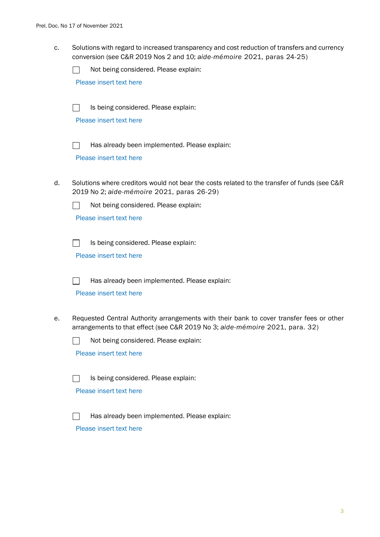c. Solutions with regard to increased transparency and cost reduction of transfers and currency conversion (see C&R 2019 Nos 2 and 10; *aide-mémoire* 2021, paras 24-25)

 $\Box$ Not being considered. Please explain:

Please insert text here

 $\Box$ Is being considered. Please explain:

Please insert text here



Has already been implemented. Please explain:

Please insert text here

d. Solutions where creditors would not bear the costs related to the transfer of funds (see C&R 2019 No 2; *aide-mémoire* 2021, paras 26-29)



Not being considered. Please explain:

Please insert text here

 $\Box$ Is being considered. Please explain:

Please insert text here

Has already been implemented. Please explain:  $\mathbf{I}$ 

Please insert text here

e. Requested Central Authority arrangements with their bank to cover transfer fees or other arrangements to that effect (see C&R 2019 No 3; *aide-mémoire* 2021, para. 32)

Not being considered. Please explain:  $\Box$ 

Please insert text here



Is being considered. Please explain:

Please insert text here

Has already been implemented. Please explain: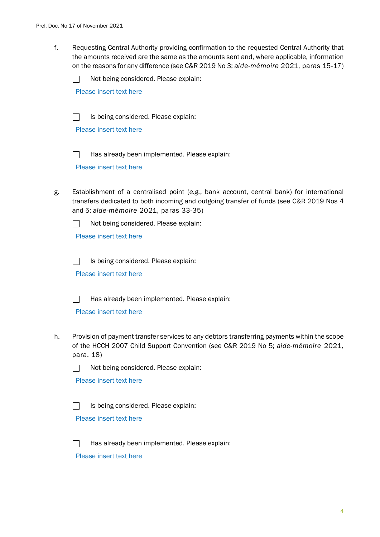f. Requesting Central Authority providing confirmation to the requested Central Authority that the amounts received are the same as the amounts sent and, where applicable, information on the reasons for any difference (see C&R 2019 No 3; *aide-mémoire* 2021, paras 15-17)

 $\Box$ Not being considered. Please explain:

Please insert text here

 $\Box$ Is being considered. Please explain:

Please insert text here

 $\Box$ Has already been implemented. Please explain:

Please insert text here

g. Establishment of a centralised point (*e.g.*, bank account, central bank) for international transfers dedicated to both incoming and outgoing transfer of funds (see C&R 2019 Nos 4 and 5; *aide-mémoire* 2021, paras 33-35)



Please insert text here

 $\Box$ Is being considered. Please explain:

Please insert text here



Has already been implemented. Please explain:

Please insert text here

h. Provision of payment transfer services to any debtors transferring payments within the scope of the HCCH 2007 Child Support Convention (see C&R 2019 No 5; *aide-mémoire* 2021, para. 18)



Please insert text here

Is being considered. Please explain:  $\Box$ 

Please insert text here

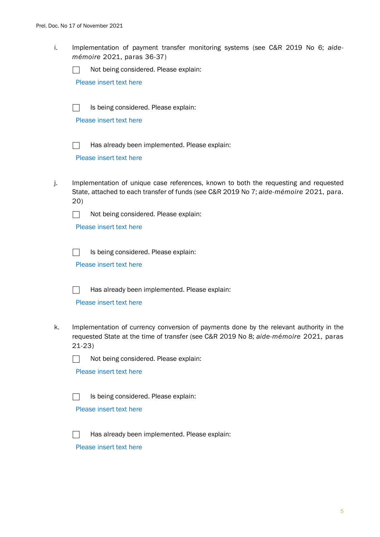i. Implementation of payment transfer monitoring systems (see C&R 2019 No 6; *aidemémoire* 2021, paras 36-37)

 $\Box$ Not being considered. Please explain:

Please insert text here

Is being considered. Please explain:  $\Box$ 

Please insert text here

 $\Box$ 

Has already been implemented. Please explain:

Please insert text here

j. Implementation of unique case references, known to both the requesting and requested State, attached to each transfer of funds (see C&R 2019 No 7; *aide-mémoire* 2021, para. 20)



Please insert text here

Is being considered. Please explain:  $\Box$ 

Please insert text here



Has already been implemented. Please explain:

Please insert text here

k. Implementation of currency conversion of payments done by the relevant authority in the requested State at the time of transfer (see C&R 2019 No 8; *aide-mémoire* 2021, paras 21-23)



Not being considered. Please explain:

Please insert text here

Is being considered. Please explain:  $\Box$ 

Please insert text here



Has already been implemented. Please explain: